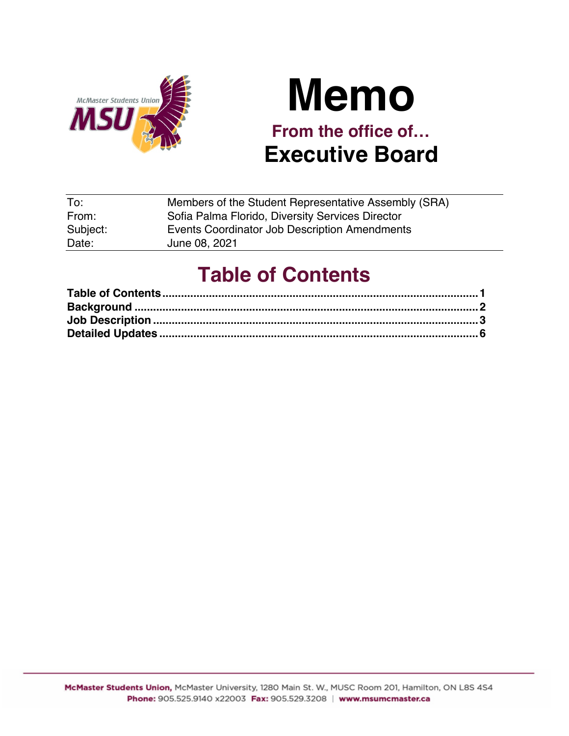

# **Memo From the office of… Executive Board**

| To:      | Members of the Student Representative Assembly (SRA) |
|----------|------------------------------------------------------|
| From:    | Sofia Palma Florido, Diversity Services Director     |
| Subject: | Events Coordinator Job Description Amendments        |
| Date:    | June 08, 2021                                        |

# **Table of Contents**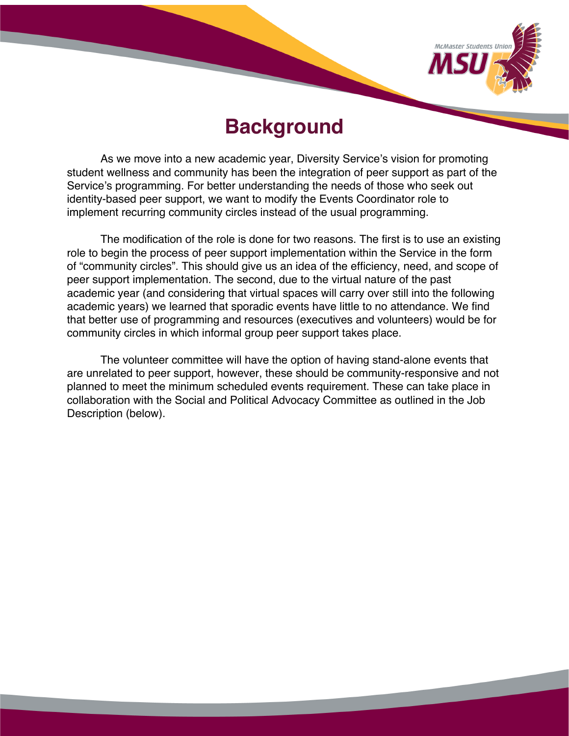

## **Background**

As we move into a new academic year, Diversity Service's vision for promoting student wellness and community has been the integration of peer support as part of the Service's programming. For better understanding the needs of those who seek out identity-based peer support, we want to modify the Events Coordinator role to implement recurring community circles instead of the usual programming.

The modification of the role is done for two reasons. The first is to use an existing role to begin the process of peer support implementation within the Service in the form of "community circles". This should give us an idea of the efficiency, need, and scope of peer support implementation. The second, due to the virtual nature of the past academic year (and considering that virtual spaces will carry over still into the following academic years) we learned that sporadic events have little to no attendance. We find that better use of programming and resources (executives and volunteers) would be for community circles in which informal group peer support takes place.

The volunteer committee will have the option of having stand-alone events that are unrelated to peer support, however, these should be community-responsive and not planned to meet the minimum scheduled events requirement. These can take place in collaboration with the Social and Political Advocacy Committee as outlined in the Job Description (below).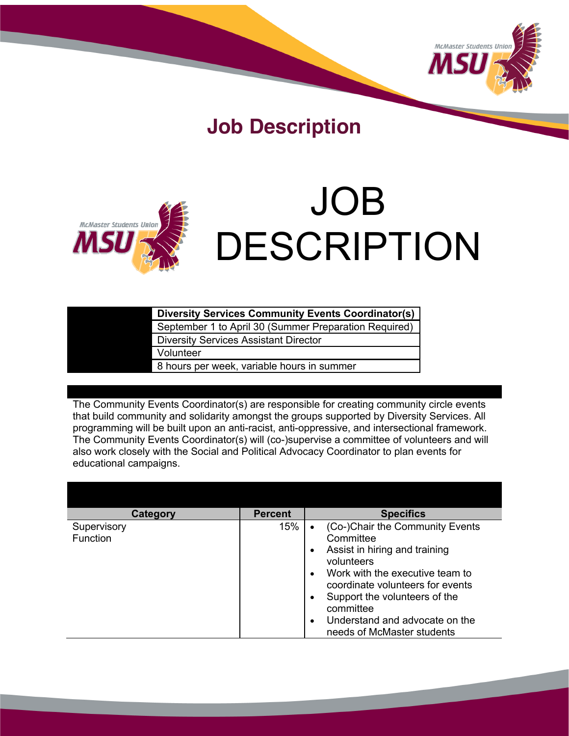

# **Job Description**



# JOB DESCRIPTION

| <b>Diversity Services Community Events Coordinator(s)</b> |
|-----------------------------------------------------------|
| September 1 to April 30 (Summer Preparation Required)     |
| <b>Diversity Services Assistant Director</b>              |
| Volunteer                                                 |
| 8 hours per week, variable hours in summer                |

The Community Events Coordinator(s) are responsible for creating community circle events that build community and solidarity amongst the groups supported by Diversity Services. All programming will be built upon an anti-racist, anti-oppressive, and intersectional framework. The Community Events Coordinator(s) will (co-)supervise a committee of volunteers and will also work closely with the Social and Political Advocacy Coordinator to plan events for educational campaigns.

| <b>Category</b> | <b>Percent</b> | <b>Specifics</b>                             |
|-----------------|----------------|----------------------------------------------|
| Supervisory     | 15%            | (Co-)Chair the Community Events              |
| <b>Function</b> |                | Committee                                    |
|                 |                | Assist in hiring and training                |
|                 |                | volunteers                                   |
|                 |                | Work with the executive team to<br>$\bullet$ |
|                 |                | coordinate volunteers for events             |
|                 |                | Support the volunteers of the                |
|                 |                | committee                                    |
|                 |                | Understand and advocate on the<br>$\bullet$  |
|                 |                | needs of McMaster students                   |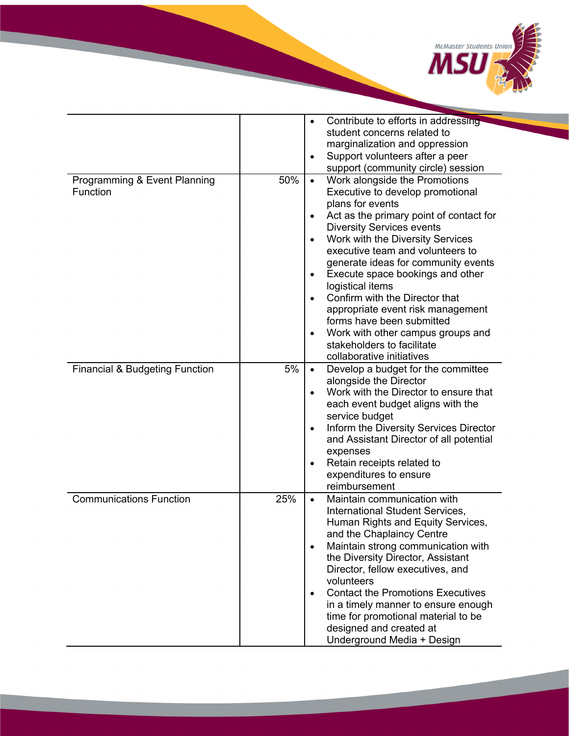

|                                           |     | Contribute to efforts in addressing<br>٠              |
|-------------------------------------------|-----|-------------------------------------------------------|
|                                           |     | student concerns related to                           |
|                                           |     | marginalization and oppression                        |
|                                           |     | Support volunteers after a peer<br>$\bullet$          |
|                                           |     | support (community circle) session                    |
| Programming & Event Planning              | 50% | Work alongside the Promotions<br>$\bullet$            |
| <b>Function</b>                           |     | Executive to develop promotional                      |
|                                           |     | plans for events                                      |
|                                           |     | Act as the primary point of contact for<br>$\bullet$  |
|                                           |     | <b>Diversity Services events</b>                      |
|                                           |     | Work with the Diversity Services<br>$\bullet$         |
|                                           |     | executive team and volunteers to                      |
|                                           |     |                                                       |
|                                           |     | generate ideas for community events                   |
|                                           |     | Execute space bookings and other<br>$\bullet$         |
|                                           |     | logistical items                                      |
|                                           |     | Confirm with the Director that<br>$\bullet$           |
|                                           |     | appropriate event risk management                     |
|                                           |     | forms have been submitted                             |
|                                           |     | Work with other campus groups and<br>$\bullet$        |
|                                           |     | stakeholders to facilitate                            |
|                                           |     | collaborative initiatives                             |
| <b>Financial &amp; Budgeting Function</b> | 5%  | Develop a budget for the committee<br>$\bullet$       |
|                                           |     | alongside the Director                                |
|                                           |     | Work with the Director to ensure that<br>$\bullet$    |
|                                           |     | each event budget aligns with the                     |
|                                           |     | service budget                                        |
|                                           |     | Inform the Diversity Services Director<br>$\bullet$   |
|                                           |     | and Assistant Director of all potential               |
|                                           |     | expenses                                              |
|                                           |     | Retain receipts related to<br>$\bullet$               |
|                                           |     | expenditures to ensure                                |
|                                           |     | reimbursement                                         |
| <b>Communications Function</b>            | 25% | Maintain communication with<br>$\bullet$              |
|                                           |     | International Student Services,                       |
|                                           |     | Human Rights and Equity Services,                     |
|                                           |     | and the Chaplaincy Centre                             |
|                                           |     | Maintain strong communication with<br>$\bullet$       |
|                                           |     | the Diversity Director, Assistant                     |
|                                           |     | Director, fellow executives, and                      |
|                                           |     | volunteers                                            |
|                                           |     | <b>Contact the Promotions Executives</b><br>$\bullet$ |
|                                           |     | in a timely manner to ensure enough                   |
|                                           |     | time for promotional material to be                   |
|                                           |     | designed and created at                               |
|                                           |     | Underground Media + Design                            |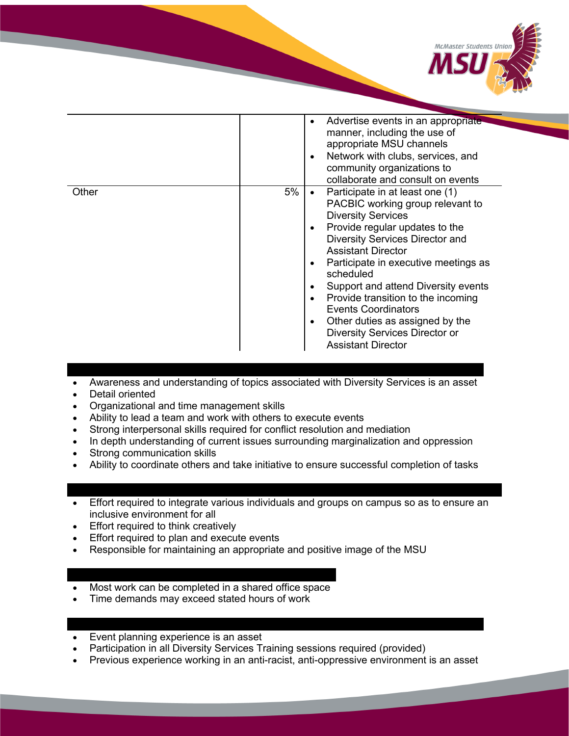

|       |    | Advertise events in an appropriate<br>٠<br>manner, including the use of<br>appropriate MSU channels<br>Network with clubs, services, and<br>$\bullet$<br>community organizations to<br>collaborate and consult on events                                                                                                                                                                                                                                                                             |
|-------|----|------------------------------------------------------------------------------------------------------------------------------------------------------------------------------------------------------------------------------------------------------------------------------------------------------------------------------------------------------------------------------------------------------------------------------------------------------------------------------------------------------|
| Other | 5% | Participate in at least one (1)<br>٠<br>PACBIC working group relevant to<br><b>Diversity Services</b><br>Provide regular updates to the<br>٠<br><b>Diversity Services Director and</b><br><b>Assistant Director</b><br>Participate in executive meetings as<br>٠<br>scheduled<br>Support and attend Diversity events<br>٠<br>Provide transition to the incoming<br><b>Events Coordinators</b><br>Other duties as assigned by the<br>٠<br>Diversity Services Director or<br><b>Assistant Director</b> |

- Awareness and understanding of topics associated with Diversity Services is an asset
- Detail oriented
- Organizational and time management skills
- Ability to lead a team and work with others to execute events
- Strong interpersonal skills required for conflict resolution and mediation
- In depth understanding of current issues surrounding marginalization and oppression
- Strong communication skills
- Ability to coordinate others and take initiative to ensure successful completion of tasks

- Effort required to integrate various individuals and groups on campus so as to ensure an inclusive environment for all
- Effort required to think creatively
- Effort required to plan and execute events
- Responsible for maintaining an appropriate and positive image of the MSU

- Most work can be completed in a shared office space
- Time demands may exceed stated hours of work
- Event planning experience is an asset
- Participation in all Diversity Services Training sessions required (provided)
- Previous experience working in an anti-racist, anti-oppressive environment is an asset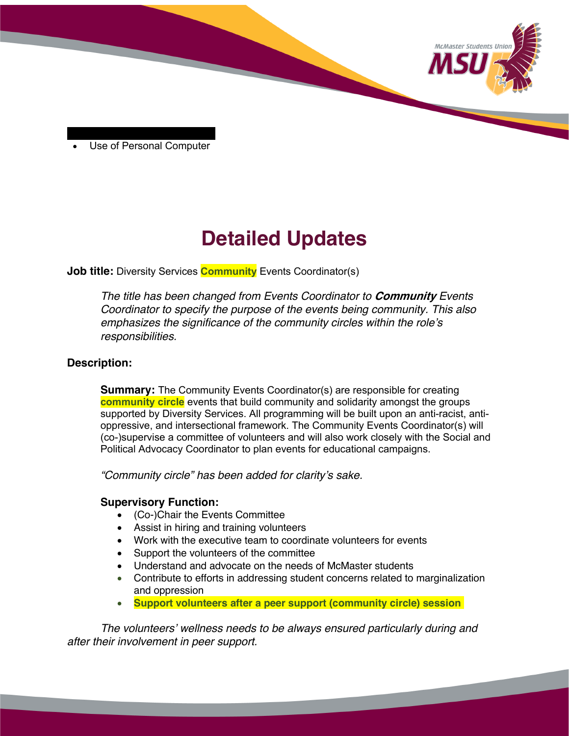

Use of Personal Computer

# **Detailed Updates**

## **Job title:** Diversity Services **Community** Events Coordinator(s)

*The title has been changed from Events Coordinator to* **Community** *Events Coordinator to specify the purpose of the events being community. This also emphasizes the significance of the community circles within the role's responsibilities.* 

### **Description:**

**Summary:** The Community Events Coordinator(s) are responsible for creating **community circle** events that build community and solidarity amongst the groups supported by Diversity Services. All programming will be built upon an anti-racist, antioppressive, and intersectional framework. The Community Events Coordinator(s) will (co-)supervise a committee of volunteers and will also work closely with the Social and Political Advocacy Coordinator to plan events for educational campaigns.

*"Community circle" has been added for clarity's sake.*

## **Supervisory Function:**

- (Co-)Chair the Events Committee
- Assist in hiring and training volunteers
- Work with the executive team to coordinate volunteers for events
- Support the volunteers of the committee
- Understand and advocate on the needs of McMaster students
- Contribute to efforts in addressing student concerns related to marginalization and oppression
- **Support volunteers after a peer support (community circle) session**

*The volunteers' wellness needs to be always ensured particularly during and after their involvement in peer support.*